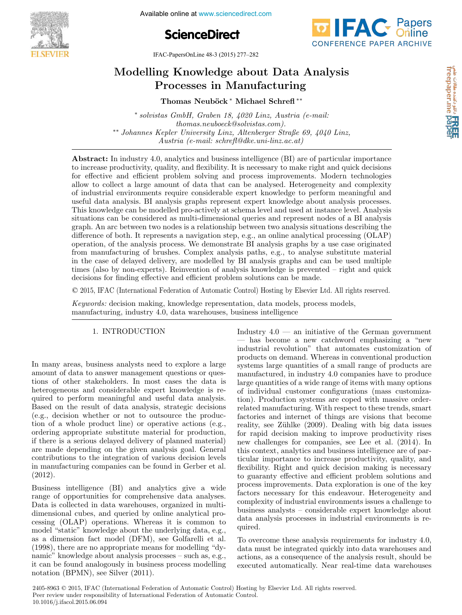

**ScienceDirect**



IFAC-PapersOnLine 48-3 (2015) 277–282  $M$ A $C$ -1 apersonizing 40-5 (2015)  $277 - 202$ 

# Modelling Knowledge about Data Analysis Modelling Knowledge about Data Analysis Modelling Knowledge about Data Analysis Processes in Manufacturing Processes in Manufacturing Processes in Manufacturing Processes in Manufacturing  $\log$  Knowledge about Data  $\pi$ Modelling Knowledge about Data Analysis

Thomas Neuböck ∗ Michael Schrefl <sup>∗∗</sup> Thomas Neuböck<sup>\*</sup> Michael Schrefl<sup>\*\*</sup>

∗ solvistas GmbH, Graben 18, 4020 Linz, Austria (e-mail: thomas.neuboeck@solvistas.com). thomas.neuboeck@solvistas.com). thomas.neuboeck@solvistas.com). thomas.neuboeck@solvistas.com). ∗∗ Johannes Kepler University Linz, Altenberger Straße 69, 4040 Linz, ∗∗ Johannes Kepler University Linz, Altenberger Straße 69, 4040 Linz, ∗∗ Johannes Kepler University Linz, Altenberger Straße 69, 4040 Linz, ∗∗ Johannes Kepler University Linz, Altenberger Straße 69, 4040 Linz, ∗ solvistas GmbH, Graben 18, 4020 Linz, Austria (e-mail: ∗ solvistas GmbH, Graben 18, 4020 Linz, Austria (e-mail: ∗ solvistas GmbH, Graben 18, 4020 Linz, Austria (e-mail: Austria (e-mail: schrefl@dke.uni-linz.ac.at) Austria (e-mail: schrefl@dke.uni-linz.ac.at) Austria (e-mail: schrefl@dke.uni-linz.ac.at)  $\frac{1}{1}$  solvistas GmbH, Graben 18, 4020 Linz, Austria (e-mail: thomas.neuboeck@solvistas.com).  $\sim$  Johannes Kepler University Linz, Altenberger Straße 69, 4040 Linz, Austria (e-mail: schrefl@dke.uni-linz.ac.at)

Austria (e-mail: schrefl@dke.uni-linz.ac.at)

to increase productivity, quality, and nexiomity. It is necessary to make right and quick decisions<br>for effective and efficient problem solving and process improvements. Modern technologies allow to collect a large amount of data that can be analysed. Heterogeneity and complexity anow to conect a large amount of data that can be analysed. Heterogeneity and complexity<br>of industrial environments require considerable expert knowledge to perform meaningful and or muustriar environments require considerable expert knowledge to periorin meaningium and<br>useful data analysis. BI analysis graphs represent expert knowledge about analysis processes. useful data analysis. Di analysis graphs represent expert knowledge about analysis processes.<br>This knowledge can be modelled pro-actively at schema level and used at instance level. Analysis This knowledge can be modelled pro-actively at schema level and used at instance level. Analysis<br>situations can be considered as multi-dimensional queries and represent nodes of a BI analysis stuations can be considered as multi-dimensional queries and represent holds of a Di analysis<br>graph. An arc between two nodes is a relationship between two analysis situations describing the<br>difference of both. It represen graph. An arc between two nodes is a relationship between two analysis situations describing the<br>difference of both. It represents a navigation step, e.g., an online analytical processing (OLAP) operation, of the analysis process. We demonstrate BI analysis graphs by a use case originated<br>operation, of the analysis process. We demonstrate BI analysis graphs by a use case originated operation, or the analysis process. We demonstrate Dr analysis graphs by a use case originated<br>from manufacturing of brushes. Complex analysis paths, e.g., to analyse substitute material in the case of delayed delivery, are modelled by BI analysis graphs and can be used multiple from manufacturing of  $\alpha$  are modelled by  $\alpha$  indicates and  $\alpha$  is an algebra of  $\alpha$  in  $\alpha$  is an algebra of  $\alpha$  is  $\alpha$  is an algebra of  $\alpha$  is  $\alpha$  is an algebra of  $\alpha$  is  $\alpha$  is  $\alpha$  is  $\alpha$  is  $\alpha$  is  $\alpha$  is In the case of delayed denvery, are modelled by  $\overline{D}$  analysis graphs and can be used multiple<br>times (also by non-experts). Reinvention of analysis knowledge is prevented – right and quick<br>decisions for finding effecti decisions for finding effective and efficient problem solutions can be made. to increase productivity, quality, and flexibility. It is necessary to make right and quick decisions decisions for finding effective and efficient problem solutions can be made. Assume that a secondary contributed automatically contributed automatically contributed automatically contributed and the material of the material of the material of the material of the material of the material of the mat Abstract: In industry 4.0, analytics and business intelligence (BI) are of particular importance

© 2015, IFAC (International Federation of Automatic Control) Hosting by Elsevier Ltd. All rights reserved.

 $\frac{K}{\sqrt{K}}$  and  $\frac{K}{\sqrt{K}}$  and  $\frac{K}{\sqrt{K}}$  and  $\frac{K}{\sqrt{K}}$  are process models, process models, process models, process models, process models, process models, process models,  $\frac{K}{\sqrt{K}}$  and  $\frac{K}{\sqrt{K}}$  and  $\frac{K}{\$ manufacturing, industry 4.0, data warehouses, business intelligence  $Keywords:$  decision making, knowledge representation, data models, process models, Keywords: decision making, knowledge representation, data models, process models,

#### 1. <del>INTRODUCTION</del> 1. INTRODUCTION 1. INTRODUCTION 1. INTRODUCTION 1. INTRODUCTION

amount of data to answer management questions or questhe same of other stakeholders. In most cases the data is heterogeneous and considerable expert knowledge is required to perform meaningful and useful data analysis. Based on the result of data analysis, strategic decisions (e.g., decision whether or not to outsource the production of a whole product line) or operative actions (e.g., ordering appropriate substitute material for production,<br>if there is a serious delayed delivery of planned material) if there is a serious delayed delivery of planned material) are made depending on the given analysis goal. General contributions to the integration of various decision levels contributions to the integration of various decision fovers in manufacturing companies can be found in Gerber et al.<br>(2012)  $(2012)$ . In many areas, business analysts need to explore a large In many areas, business analysts need to explore a large In many areas, business analysts need to explore a large (2012). (2012). (2012). In many areas, business analysts need to explore a large

range of opportunities for comprehensive data analyses. Data is collected in data warehouses, organized in multidimensional cubes, and queried by online analytical processing (OLAP) operations. Whereas it is common to model "static" knowledge about the underlying data, e.g., as a dimension fact model (DFM), see Golfarelli et al.<br>(1998) there are no appropriate means for modelling "dv- $(1998)$ , there are no appropriate means for modelling "dynamic" knowledge about analysis processes – such as, e.g., it can be found analogously in business process modelling it can be found analogously in business process modelling notation (BPMN), see Silver (2011). notation (BPMN), see Silver (2011). notation (BPMN), see Silver (2011). notation (BPMN), see Silver (2011). Business intelligence (BI) and analytics give a wide Business intelligence (BI) and analytics give a wide Business intelligence (BI) and analytics give a wide Business intelligence (BI) and analytics give a wide - has become a new catchword emphasizing a "new industrial revolution" that automates customization of products on demand. Whereas in conventional production systems large quantities of a small range of products are manufactured, in industry 4.0 companies have to produce<br>large quantities of a wide range of items with many options large quantities of a wide range of items with many options of individual customer configurations (mass customization). Production systems are coped with massive orderrelated manufacturing. With respect to these trends, smart factories and internet of things are visions that become reality, see Zühlke (2009). Dealing with big data issues for rapid decision making to improve productivity rises new challenges for companies, see Lee et al. (2014). In this context, analytics and business intelligence are of particular importance to increase productivity, quality, and flexibility. Right and quick decision making is necessary to guaranty effective and efficient problem solutions and to guaranty effective and efficient problem solutions and process improvements. Data exploration is one of the key factors necessary for this endeavour. Heterogeneity and complexity of industrial environments issues a challenge to business analysts – considerable expert knowledge about business analysts – considerable expert interesting about data analysis processes in industrial environments is required  $rac{q}{q}$ Industry  $4.0$  — an initiative of the German government quired. quired. quired. to guaranty effective and efficient problem solutions and<br>process improvements. Data exploration is one of the key<br>factors necessary for this endeavour. Heterogeneity and<br>complexity of industrial environments issues a chal Industry  $4.0$  — an initiative of the German government process improvements. Data exploration is one of the key

data must be integrated quickly into data warehouses and actions, as a consequence of the analysis result, should be actions, as a consequence of the analysis result, should be executed automatically. Near real-time data warehouses executed automatically. Near real-time data warehouses executed automatically. Near real-time data warehouses To overcome these analysis requirements for industry 4.0, To overcome these analysis requirements for industry 4.0, To overcome these analysis requirements for industry 4.0, To overcome these analysis requirements for industry 4.0,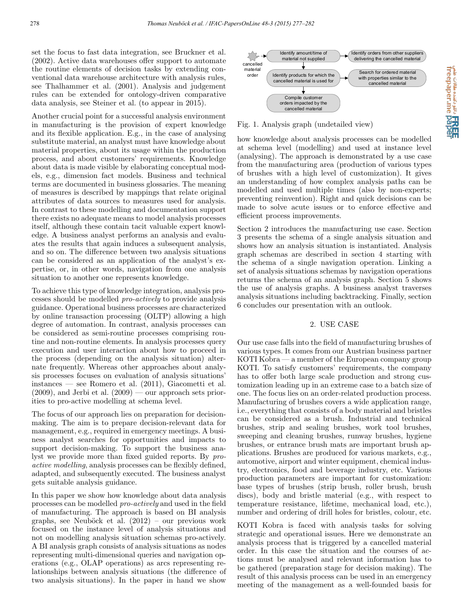set the focus to fast data integration, see Bruckner et al. (2002). Active data warehouses offer support to automate the routine elements of decision tasks by extending conventional data warehouse architecture with analysis rules, see Thalhammer et al. (2001). Analysis and judgement rules can be extended for ontology-driven comparative data analysis, see Steiner et al. (to appear in 2015).

Another crucial point for a successful analysis environment in manufacturing is the provision of expert knowledge and its flexible application. E.g., in the case of analysing substitute material, an analyst must have knowledge about material properties, about its usage within the production process, and about customers' requirements. Knowledge about data is made visible by elaborating conceptual models, e.g., dimension fact models. Business and technical terms are documented in business glossaries. The meaning of measures is described by mappings that relate original attributes of data sources to measures used for analysis. In contrast to these modelling and documentation support there exists no adequate means to model analysis processes itself, although these contain tacit valuable expert knowledge. A business analyst performs an analysis and evaluates the results that again induces a subsequent analysis, and so on. The difference between two analysis situations can be considered as an application of the analyst's expertise, or, in other words, navigation from one analysis situation to another one represents knowledge.

To achieve this type of knowledge integration, analysis processes should be modelled pro-actively to provide analysis guidance. Operational business processes are characterized by online transaction processing (OLTP) allowing a high degree of automation. In contrast, analysis processes can be considered as semi-routine processes comprising routine and non-routine elements. In analysis processes query execution and user interaction about how to proceed in the process (depending on the analysis situation) alternate frequently. Whereas other approaches about analysis processes focuses on evaluation of analysis situations' instances — see Romero et al. (2011), Giacometti et al.  $(2009)$ , and Jerbi et al.  $(2009)$  — our approach sets priorities to pro-active modelling at schema level.

The focus of our approach lies on preparation for decisionmaking. The aim is to prepare decision-relevant data for management, e.g., required in emergency meetings. A business analyst searches for opportunities and impacts to support decision-making. To support the business analyst we provide more than fixed guided reports. By proactive modelling, analysis processes can be flexibly defined, adapted, and subsequently executed. The business analyst gets suitable analysis guidance.

In this paper we show how knowledge about data analysis processes can be modelled pro-actively and used in the field of manufacturing. The approach is based on BI analysis graphs, see Neuböck et al.  $(2012)$  – our previous work focused on the instance level of analysis situations and not on modelling analysis situation schemas pro-actively. A BI analysis graph consists of analysis situations as nodes representing multi-dimensional queries and navigation operations (e.g., OLAP operations) as arcs representing relationships between analysis situations (the difference of two analysis situations). In the paper in hand we show



Fig. 1. Analysis graph (undetailed view)

how knowledge about analysis processes can be modelled at schema level (modelling) and used at instance level (analysing). The approach is demonstrated by a use case from the manufacturing area (production of various types of brushes with a high level of customization). It gives an understanding of how complex analysis paths can be modelled and used multiple times (also by non-experts; preventing reinvention). Right and quick decisions can be made to solve acute issues or to enforce effective and efficient process improvements.

Section 2 introduces the manufacturing use case. Section 3 presents the schema of a single analysis situation and shows how an analysis situation is instantiated. Analysis graph schemas are described in section 4 starting with the schema of a single navigation operation. Linking a set of analysis situations schemas by navigation operations returns the schema of an analysis graph. Section 5 shows the use of analysis graphs. A business analyst traverses analysis situations including backtracking. Finally, section 6 concludes our presentation with an outlook.

### 2. USE CASE

Our use case falls into the field of manufacturing brushes of various types. It comes from our Austrian business partner KOTI Kobra — a member of the European company group KOTI. To satisfy customers' requirements, the company has to offer both large scale production and strong customization leading up in an extreme case to a batch size of one. The focus lies on an order-related production process. Manufacturing of brushes covers a wide application range, i.e., everything that consists of a body material and bristles can be considered as a brush. Industrial and technical brushes, strip and sealing brushes, work tool brushes, sweeping and cleaning brushes, runway brushes, hygiene brushes, or entrance brush mats are important brush applications. Brushes are produced for various markets, e.g., automotive, airport and winter equipment, chemical industry, electronics, food and beverage industry, etc. Various production parameters are important for customization: base types of brushes (strip brush, roller brush, brush discs), body and bristle material (e.g., with respect to temperature resistance, lifetime, mechanical load, etc.), number and ordering of drill holes for bristles, colour, etc.

KOTI Kobra is faced with analysis tasks for solving strategic and operational issues. Here we demonstrate an analysis process that is triggered by a cancelled material order. In this case the situation and the courses of actions must be analysed and relevant information has to be gathered (preparation stage for decision making). The result of this analysis process can be used in an emergency meeting of the management as a well-founded basis for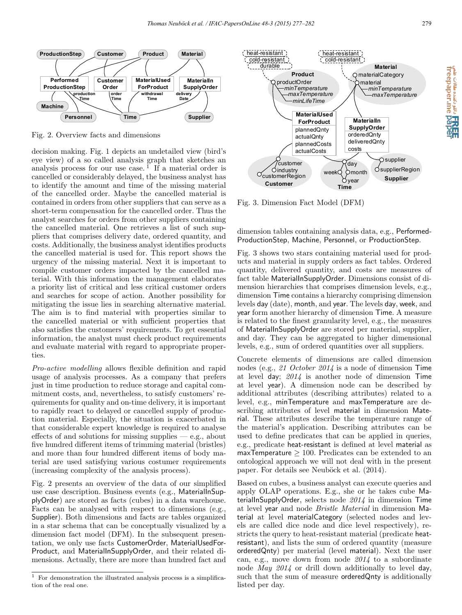

Fig. 2. Overview facts and dimensions

decision making. Fig. 1 depicts an undetailed view (bird's eye view) of a so called analysis graph that sketches an analysis process for our use case.<sup>1</sup> If a material order is cancelled or considerably delayed, the business analyst has to identify the amount and time of the missing material of the cancelled order. Maybe the cancelled material is contained in orders from other suppliers that can serve as a short-term compensation for the cancelled order. Thus the analyst searches for orders from other suppliers containing the cancelled material. One retrieves a list of such suppliers that comprises delivery date, ordered quantity, and costs. Additionally, the business analyst identifies products the cancelled material is used for. This report shows the urgency of the missing material. Next it is important to compile customer orders impacted by the cancelled material. With this information the management elaborates a priority list of critical and less critical customer orders and searches for scope of action. Another possibility for mitigating the issue lies in searching alternative material. The aim is to find material with properties similar to the cancelled material or with sufficient properties that also satisfies the customers' requirements. To get essential information, the analyst must check product requirements and evaluate material with regard to appropriate properties.

Pro-active modelling allows flexible definition and rapid usage of analysis processes. As a company that prefers just in time production to reduce storage and capital commitment costs, and, nevertheless, to satisfy customers' requirements for quality and on-time delivery, it is important to rapidly react to delayed or cancelled supply of production material. Especially, the situation is exacerbated in that considerable expert knowledge is required to analyse effects of and solutions for missing supplies  $-$  e.g., about five hundred different items of trimming material (bristles) and more than four hundred different items of body material are used satisfying various costumer requirements (increasing complexity of the analysis process).

Fig. 2 presents an overview of the data of our simplified use case description. Business events (e.g., MaterialInSupplyOrder) are stored as facts (cubes) in a data warehouse. Facts can be analysed with respect to dimensions (e.g., Supplier). Both dimensions and facts are tables organized in a star schema that can be conceptually visualized by a dimension fact model (DFM). In the subsequent presentation, we only use facts CustomerOrder, MaterialUsedFor-Product, and MaterialInSupplyOrder, and their related dimensions. Actually, there are more than hundred fact and



Fig. 3. Dimension Fact Model (DFM)

dimension tables containing analysis data, e.g., Performed-ProductionStep, Machine, Personnel, or ProductionStep.

Fig. 3 shows two stars containing material used for products and material in supply orders as fact tables. Ordered quantity, delivered quantity, and costs are measures of fact table MaterialInSupplyOrder. Dimensions consist of dimension hierarchies that comprises dimension levels, e.g., dimension Time contains a hierarchy comprising dimension levels day (date), month, and year. The levels day, week, and year form another hierarchy of dimension Time. A measure is related to the finest granularity level, e.g., the measures of MaterialInSupplyOrder are stored per material, supplier, and day. They can be aggregated to higher dimensional levels, e.g., sum of ordered quantities over all suppliers.

Concrete elements of dimensions are called dimension nodes (e.g., 21 October 2014 is a node of dimension Time at level day; 2014 is another node of dimension Time at level year). A dimension node can be described by additional attributes (describing attributes) related to a level, e.g., minTemperature and maxTemperature are describing attributes of level material in dimension Material. These attributes describe the temperature range of the material's application. Describing attributes can be used to define predicates that can be applied in queries, e.g., predicate heat-resistant is defined at level material as maxTemperature  $\geq 100$ . Predicates can be extended to an ontological approach we will not deal with in the present paper. For details see Neuböck et al.  $(2014)$ .

Based on cubes, a business analyst can execute queries and apply OLAP operations. E.g., she or he takes cube MaterialInSupplyOrder, selects node 2014 in dimension Time at level year and node Bristle Material in dimension Material at level materialCategory (selected nodes and levels are called dice node and dice level respectively), restricts the query to heat-resistant material (predicate heatresistant), and lists the sum of ordered quantity (measure orderedQnty) per material (level material). Next the user can, e.g., move down from node 2014 to a subordinate node May 2014 or drill down additionally to level day, such that the sum of measure orderedQnty is additionally listed per day.

e Calia منابر دکتنده هالات<br>freepaper.me papel<br>freepaper.me

 $1$  For demonstration the illustrated analysis process is a simplification of the real one.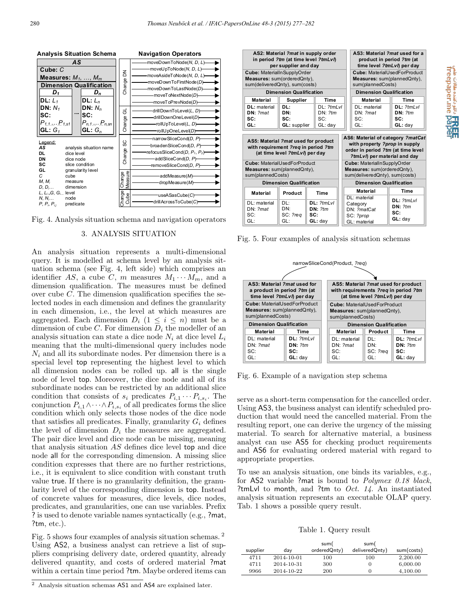



### 3. ANALYSIS SITUATION

An analysis situation represents a multi-dimensional query. It is modelled at schema level by an analysis situation schema (see Fig. 4, left side) which comprises an identifier *AS*, a cube *C*, *m* measures  $M_1 \cdots M_m$ , and a dimension qualification. The measures must be defined over cube *C*. The dimension qualification specifies the selected nodes in each dimension and defines the granularity in each dimension, i.e., the level at which measures are aggregated. Each dimension  $D_i$  (1  $\leq i \leq n$ ) must be a dimension of cube *C*. For dimension  $D_i$  the modeller of an analysis situation can state a dice node  $N_i$  at dice level  $L_i$ meaning that the multi-dimensional query includes node  $N_i$  and all its subordinate nodes. Per dimension there is a special level top representing the highest level to which all dimension nodes can be rolled up. all is the single node of level top. Moreover, the dice node and all of its subordinate nodes can be restricted by an additional slice condition that consists of  $s_i$  predicates  $P_{i,1} \cdots P_{i,s_i}$ . The conjunction  $P_{i,1} \wedge \cdots \wedge P_{i,s_i}$  of all predicates forms the slice condition which only selects those nodes of the dice node that satisfies all predicates. Finally, granularity  $G_i$  defines the level of dimension  $D_i$  the measures are aggregated. The pair dice level and dice node can be missing, meaning that analysis situation *AS* defines dice level top and dice node all for the corresponding dimension. A missing slice condition expresses that there are no further restrictions, i.e., it is equivalent to slice condition with constant truth value true. If there is no granularity definition, the granularity level of the corresponding dimension is top. Instead of concrete values for measures, dice levels, dice nodes, predicates, and granularities, one can use variables. Prefix ? is used to denote variable names syntactically (e.g., ?mat, ?tm, etc.).

Fig. 5 shows four examples of analysis situation schemas. <sup>2</sup> Using AS2, a business analyst can retrieve a list of suppliers comprising delivery date, ordered quantity, already delivered quantity, and costs of ordered material ?mat within a certain time period ?tm. Maybe ordered items can

| AS2: Material ?mat in supply order<br>in period ?tm (at time level ?tmLvl)<br>per supplier and day                                                                                                      |                                |                                           |  | AS3: Material 2mat used for a<br>product in period ?tm (at<br>time level ?tmLvl) per day                                                                                                                                                        |                                           |  |
|---------------------------------------------------------------------------------------------------------------------------------------------------------------------------------------------------------|--------------------------------|-------------------------------------------|--|-------------------------------------------------------------------------------------------------------------------------------------------------------------------------------------------------------------------------------------------------|-------------------------------------------|--|
| <b>Cube: MaterialInSupplyOrder</b><br>Measures: sum(orderedQnty),<br>sum(deliveredQnty), sum(costs)                                                                                                     |                                |                                           |  | <b>Cube: MaterialUsedForProduct</b><br>Measures: sum(plannedQnty),<br>sum(plannedCosts)                                                                                                                                                         |                                           |  |
| <b>Dimension Qualification</b>                                                                                                                                                                          |                                |                                           |  | <b>Dimension Qualification</b>                                                                                                                                                                                                                  |                                           |  |
| <b>Material</b>                                                                                                                                                                                         | Supplier                       | Time                                      |  | Material                                                                                                                                                                                                                                        | <b>Time</b>                               |  |
| <b>DL:</b> material                                                                                                                                                                                     | DL:                            | $DI \cdot 2$ <i>tml vl</i>                |  | DL: material                                                                                                                                                                                                                                    | $DL: 2$ tml vl                            |  |
| DN: ?mat                                                                                                                                                                                                | DN:                            | DN: 2tm                                   |  | DN: ?mat                                                                                                                                                                                                                                        | DN: 2tm                                   |  |
| SC:                                                                                                                                                                                                     | SC:                            | SC:                                       |  | SC:                                                                                                                                                                                                                                             | SC:                                       |  |
| GL:                                                                                                                                                                                                     | GL: supplier                   | $GL:$ day                                 |  | GL:                                                                                                                                                                                                                                             | $GL:$ day                                 |  |
| AS5: Material ?mat used for product<br>with requirement ?reg in period ?tm<br>(at time level ?tmLvl) per day<br><b>Cube: MaterialUsedForProduct</b><br>Measures: sum(plannedQnty),<br>sum(plannedCosts) |                                |                                           |  | AS6: Material of category ?matCat<br>with property ?prop in supply<br>order in period ?tm (at time level<br>?tmLvl) per material and day<br><b>Cube: MaterialInSupplyOrder</b><br>Measures: sum(orderedQnty),<br>sum(deliveredQnty), sum(costs) |                                           |  |
| <b>Dimension Qualification</b>                                                                                                                                                                          |                                |                                           |  | <b>Dimension Qualification</b>                                                                                                                                                                                                                  |                                           |  |
| <b>Material</b>                                                                                                                                                                                         | Product                        | Time                                      |  | <b>Material</b>                                                                                                                                                                                                                                 | <b>Time</b>                               |  |
| DL: material<br>DN: ?mat<br>SC:<br>GL:                                                                                                                                                                  | DI ·<br>DN:<br>SC: ?reg<br>GL: | DL: 2tmLvl<br>DN: 2tm<br>SC:<br>$GL:$ day |  | DL: material<br>Category<br>DN: ?matCat<br>SC: ?prop<br>GL: material                                                                                                                                                                            | DL: 2tmLvl<br>DN: 2tm<br>SC:<br>$GL:$ day |  |

Fig. 5. Four examples of analysis situation schemas



Fig. 6. Example of a navigation step schema

serve as a short-term compensation for the cancelled order. Using AS3, the business analyst can identify scheduled production that would need the cancelled material. From the resulting report, one can derive the urgency of the missing material. To search for alternative material, a business analyst can use AS5 for checking product requirements and AS6 for evaluating ordered material with regard to appropriate properties.

To use an analysis situation, one binds its variables, e.g., for AS2 variable ?mat is bound to Polymex 0.18 black, ?tmLvl to month, and ?tm to *Oct.* 14. An instantiated analysis situation represents an executable OLAP query. Tab. 1 shows a possible query result.

Table 1. Query result

|          |            | sum(         | sum(           |            |
|----------|------------|--------------|----------------|------------|
| supplier | day        | orderedQnty) | deliveredQnty) | sum(costs) |
| 4711     | 2014-10-01 | 100          | 100            | 2,200.00   |
| 4711     | 2014-10-31 | 300          |                | 6,000.00   |
| 9966     | 2014-10-22 | 200          |                | 4.100.00   |

<sup>2</sup> Analysis situation schemas AS1 and AS4 are explained later.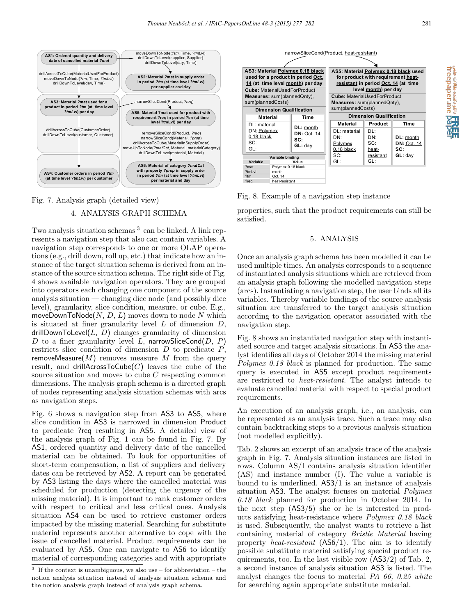

### Fig. 7. Analysis graph (detailed view)

May 11-13, 2015. Ottawa, Canada

# 4. ANALYSIS GRAPH SCHEMA

Two analysis situation schemas <sup>3</sup> can be linked. A link represents a navigation step that also can contain variables. A navigation step corresponds to one or more OLAP operations (e.g., drill down, roll up, etc.) that indicate how an instance of the target situation schema is derived from an instance of the source situation schema. The right side of Fig. 4 shows available navigation operators. They are grouped into operators each changing one component of the source analysis situation — changing dice node (and possibly dice level), granularity, slice condition, measure, or cube. E.g., moveDownToNode(*N*, *D*, *L*) moves down to node *N* which is situated at finer granularity level *L* of dimension *D*, drillDownToLevel $(L, D)$  changes granularity of dimension *D* to a finer granularity level *L*, narrowSliceCond(*D*, *P*) restricts slice condition of dimension *D* to predicate *P*, removeMeasure(*M*) removes measure *M* from the query result, and drillAcrossToCube $(C)$  leaves the cube of the source situation and moves to cube *C* respecting common dimensions. The analysis graph schema is a directed graph of nodes representing analysis situation schemas with arcs as navigation steps.

Fig. 6 shows a navigation step from AS3 to AS5, where slice condition in AS3 is narrowed in dimension Product to predicate ?req resulting in AS5. A detailed view of the analysis graph of Fig. 1 can be found in Fig. 7. By AS1, ordered quantity and delivery date of the cancelled material can be obtained. To look for opportunities of short-term compensation, a list of suppliers and delivery dates can be retrieved by AS2. A report can be generated by AS3 listing the days where the cancelled material was scheduled for production (detecting the urgency of the missing material). It is important to rank customer orders with respect to critical and less critical ones. Analysis situation AS4 can be used to retrieve customer orders impacted by the missing material. Searching for substitute material represents another alternative to cope with the issue of cancelled material. Product requirements can be evaluated by AS5. One can navigate to AS6 to identify material of corresponding categories and with appropriate



Fig. 8. Example of a navigation step instance

properties, such that the product requirements can still be satisfied.

### 5. ANALYSIS

Once an analysis graph schema has been modelled it can be used multiple times. An analysis corresponds to a sequence of instantiated analysis situations which are retrieved from an analysis graph following the modelled navigation steps (arcs). Instantiating a navigation step, the user binds all its variables. Thereby variable bindings of the source analysis situation are transferred to the target analysis situation according to the navigation operator associated with the navigation step.

Fig. 8 shows an instantiated navigation step with instantiated source and target analysis situations. In AS3 the analyst identifies all days of October 2014 the missing material Polymex 0.18 black is planned for production. The same query is executed in AS5 except product requirements are restricted to heat-resistant. The analyst intends to evaluate cancelled material with respect to special product requirements.

An execution of an analysis graph, i.e., an analysis, can be represented as an analysis trace. Such a trace may also contain backtracking steps to a previous analysis situation (not modelled explicitly).

Tab. 2 shows an excerpt of an analysis trace of the analysis graph in Fig. 7. Analysis situation instances are listed in rows. Column AS/I contains analysis situation identifier (AS) and instance number (I). The value a variable is bound to is underlined. AS3/1 is an instance of analysis situation AS3. The analyst focuses on material Polymex 0.18 black planned for production in October 2014. In the next step (AS3/5) she or he is interested in products satisfying heat-resistance where Polymex 0.18 black is used. Subsequently, the analyst wants to retrieve a list containing material of category Bristle Material having property heat-resistant (AS6/1). The aim is to identify possible substitute material satisfying special product requirements, too. In the last visible row (AS3/2) of Tab. 2, a second instance of analysis situation AS3 is listed. The analyst changes the focus to material PA 66, 0.25 white for searching again appropriate substitute material.

e Civia منتده مقالات علمي<br>freepaper.me **paper** 

 $^3\,$  If the context is unambiguous, we also use – for abbreviation – the notion analysis situation instead of analysis situation schema and the notion analysis graph instead of analysis graph schema.